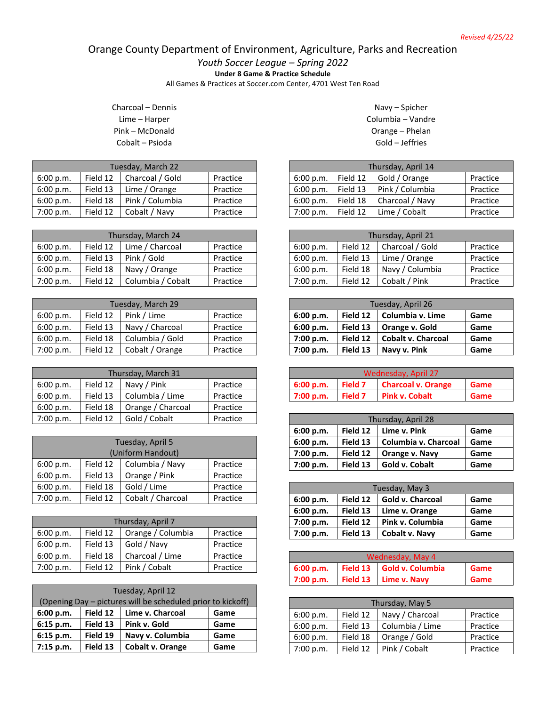## Orange County Department of Environment, Agriculture, Parks and Recreation

*Youth Soccer League – Spring 2022*

**Under 8 Game & Practice Schedule**

All Games & Practices at Soccer.com Center, 4701 West Ten Road

Charcoal – Dennis Lime – Harper Pink – McDonald Cobalt – Psioda

| Tuesday, March 22 |          |                 |          |  |
|-------------------|----------|-----------------|----------|--|
| 6:00 p.m.         | Field 12 | Charcoal / Gold | Practice |  |
| 6:00 p.m.         | Field 13 | Lime / Orange   | Practice |  |
| 6:00 p.m.         | Field 18 | Pink / Columbia | Practice |  |
| 7:00 p.m.         | Field 12 | Cobalt / Navy   | Practice |  |

| Thursday, March 24 |          |                   |          |  |
|--------------------|----------|-------------------|----------|--|
| 6:00 p.m.          | Field 12 | Lime / Charcoal   | Practice |  |
| 6:00 p.m.          | Field 13 | Pink / Gold       | Practice |  |
| 6:00 p.m.          | Field 18 | Navy / Orange     | Practice |  |
| 7:00 p.m.          | Field 12 | Columbia / Cobalt | Practice |  |

| Tuesday, March 29 |          |                 |          |
|-------------------|----------|-----------------|----------|
| 6:00 p.m.         | Field 12 | Pink / Lime     | Practice |
| 6:00 p.m.         | Field 13 | Navy / Charcoal | Practice |
| 6:00 p.m.         | Field 18 | Columbia / Gold | Practice |
| 7:00 p.m.         | Field 12 | Cobalt / Orange | Practice |

| Thursday, March 31 |          |                   |          |  |
|--------------------|----------|-------------------|----------|--|
| 6:00 p.m.          | Field 12 | Navy / Pink       | Practice |  |
| 6:00 p.m.          | Field 13 | Columbia / Lime   | Practice |  |
| 6:00 p.m.          | Field 18 | Orange / Charcoal | Practice |  |
| 7:00 p.m.          | Field 12 | Gold / Cobalt     | Practice |  |

| Tuesday, April 5 |                   |                   |          |  |  |
|------------------|-------------------|-------------------|----------|--|--|
|                  | (Uniform Handout) |                   |          |  |  |
| 6:00 p.m.        | Field 12          | Columbia / Navy   | Practice |  |  |
| 6:00 p.m.        | Field 13          | Orange / Pink     | Practice |  |  |
| 6:00 p.m.        | Field 18          | Gold / Lime       | Practice |  |  |
| 7:00 p.m.        | Field 12          | Cobalt / Charcoal | Practice |  |  |

| Thursday, April 7 |          |                   |          |
|-------------------|----------|-------------------|----------|
| 6:00 p.m.         | Field 12 | Orange / Columbia | Practice |
| 6:00 p.m.         | Field 13 | Gold / Navy       | Practice |
| 6:00 p.m.         | Field 18 | Charcoal / Lime   | Practice |
| 7:00 p.m.         | Field 12 | Pink / Cobalt     | Practice |

| Tuesday, April 12 |          |                                                             |      |  |
|-------------------|----------|-------------------------------------------------------------|------|--|
|                   |          | (Opening Day – pictures will be scheduled prior to kickoff) |      |  |
| 6:00 p.m.         | Field 12 | Lime v. Charcoal                                            | Game |  |
| 6:15 p.m.         | Field 13 | Pink v. Gold                                                | Game |  |
| 6:15 p.m.         | Field 19 | Navy v. Columbia                                            | Game |  |
| 7:15 p.m.         | Field 13 | Cobalt v. Orange                                            | Game |  |

Navy – Spicher Columbia – Vandre Orange – Phelan Gold – Jeffries

| Thursday, April 14 |          |                 |          |  |
|--------------------|----------|-----------------|----------|--|
| 6:00 p.m.          | Field 12 | Gold / Orange   | Practice |  |
| 6:00 p.m.          | Field 13 | Pink / Columbia | Practice |  |
| 6:00 p.m.          | Field 18 | Charcoal / Navy | Practice |  |
| 7:00 p.m.          | Field 12 | Lime / Cobalt   | Practice |  |

| Thursday, April 21 |          |                 |          |
|--------------------|----------|-----------------|----------|
| 6:00 p.m.          | Field 12 | Charcoal / Gold | Practice |
| 6:00 p.m.          | Field 13 | Lime / Orange   | Practice |
| 6:00 p.m.          | Field 18 | Navy / Columbia | Practice |
| 7:00 p.m.          | Field 12 | Cobalt / Pink   | Practice |

| Tuesday, April 26 |          |                    |      |
|-------------------|----------|--------------------|------|
| 6:00 p.m.         | Field 12 | Columbia v. Lime   | Game |
| 6:00 p.m.         | Field 13 | Orange v. Gold     | Game |
| 7:00 p.m.         | Field 12 | Cobalt v. Charcoal | Game |
| 7:00 p.m.         | Field 13 | Navy v. Pink       | Game |

| Wednesday, April 27                                       |  |  |  |  |  |
|-----------------------------------------------------------|--|--|--|--|--|
| <b>Charcoal v. Orange</b><br>Field 7<br>6:00 p.m.<br>Game |  |  |  |  |  |
| 12:00 p.m.<br>Field 7<br><b>Pink v. Cobalt</b><br>Game    |  |  |  |  |  |

| Thursday, April 28 |          |                      |      |
|--------------------|----------|----------------------|------|
| 6:00 p.m.          | Field 12 | Lime v. Pink         | Game |
| 6:00 p.m.          | Field 13 | Columbia v. Charcoal | Game |
| 7:00 p.m.          | Field 12 | Orange v. Navy       | Game |
| 7:00 p.m.          | Field 13 | Gold v. Cobalt       | Game |

| Tuesday, May 3 |          |                         |      |  |
|----------------|----------|-------------------------|------|--|
| 6:00 p.m.      | Field 12 | <b>Gold v. Charcoal</b> | Game |  |
| 6:00 p.m.      | Field 13 | Lime v. Orange          | Game |  |
| 7:00 p.m.      | Field 12 | Pink v. Columbia        | Game |  |
| 7:00 p.m.      | Field 13 | Cobalt v. Navy          | Game |  |

| Wednesday, May 4 |  |                           |      |
|------------------|--|---------------------------|------|
| 6:00 p.m.        |  | Field 13 Gold v. Columbia | Game |
| 12:00 p.m.       |  | Field 13 Lime v. Navy     | Game |

| Thursday, May 5 |          |                 |          |  |
|-----------------|----------|-----------------|----------|--|
| 6:00 p.m.       | Field 12 | Navy / Charcoal | Practice |  |
| 6:00 p.m.       | Field 13 | Columbia / Lime | Practice |  |
| 6:00 p.m.       | Field 18 | Orange / Gold   | Practice |  |
| 7:00 p.m.       | Field 12 | Pink / Cobalt   | Practice |  |